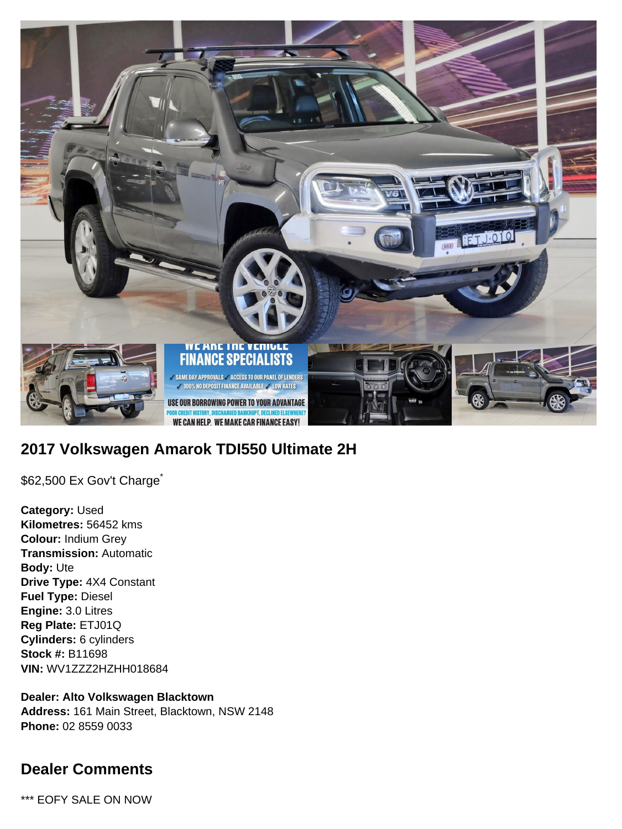

# **2017 Volkswagen Amarok TDI550 Ultimate 2H**

\$62,500 Ex Gov't Charge<sup>\*</sup>

**Category:** Used **Kilometres:** 56452 kms **Colour:** Indium Grey **Transmission:** Automatic **Body:** Ute **Drive Type:** 4X4 Constant **Fuel Type:** Diesel **Engine:** 3.0 Litres **Reg Plate:** ETJ01Q **Cylinders:** 6 cylinders **Stock #:** B11698 **VIN:** WV1ZZZ2HZHH018684

**Dealer: Alto Volkswagen Blacktown Address:** 161 Main Street, Blacktown, NSW 2148 **Phone:** 02 8559 0033

## **Dealer Comments**

\*\*\* EOFY SALE ON NOW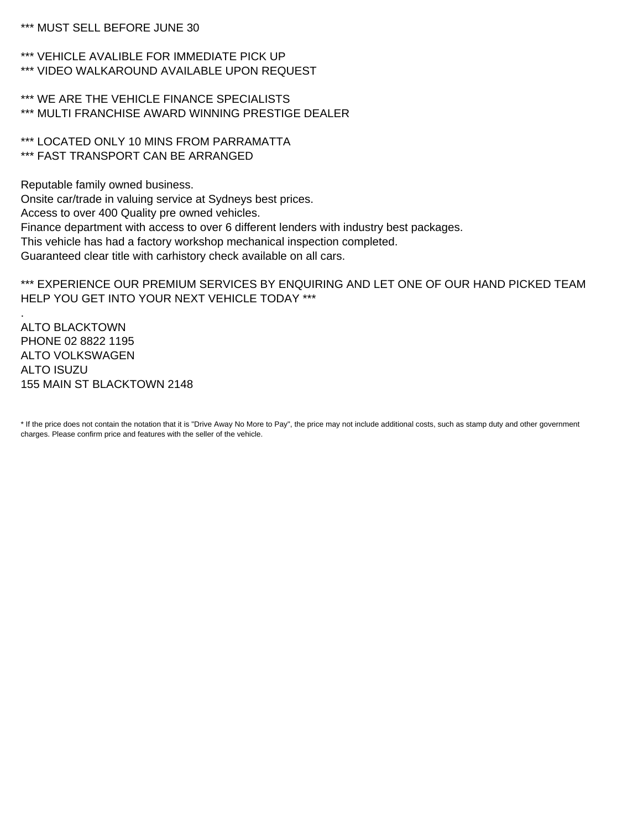\*\*\* MUST SELL BEFORE JUNE 30

\*\*\* VEHICLE AVALIBLE FOR IMMEDIATE PICK UP \*\*\* VIDEO WALKAROUND AVAILABLE UPON REQUEST

\*\*\* WE ARE THE VEHICLE FINANCE SPECIALISTS \*\*\* MULTI FRANCHISE AWARD WINNING PRESTIGE DEALER

\*\*\* LOCATED ONLY 10 MINS FROM PARRAMATTA \*\*\* FAST TRANSPORT CAN BE ARRANGED

Reputable family owned business.

Onsite car/trade in valuing service at Sydneys best prices. Access to over 400 Quality pre owned vehicles. Finance department with access to over 6 different lenders with industry best packages. This vehicle has had a factory workshop mechanical inspection completed. Guaranteed clear title with carhistory check available on all cars.

\*\*\* EXPERIENCE OUR PREMIUM SERVICES BY ENQUIRING AND LET ONE OF OUR HAND PICKED TEAM HELP YOU GET INTO YOUR NEXT VEHICLE TODAY \*\*\*

ALTO BLACKTOWN PHONE 02 8822 1195 ALTO VOLKSWAGEN ALTO ISUZU 155 MAIN ST BLACKTOWN 2148

.

\* If the price does not contain the notation that it is "Drive Away No More to Pay", the price may not include additional costs, such as stamp duty and other government charges. Please confirm price and features with the seller of the vehicle.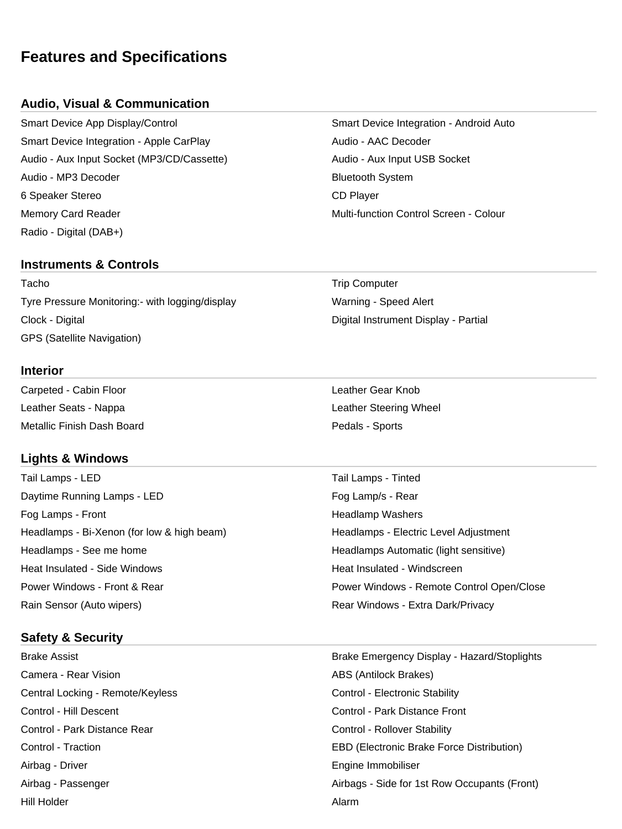## **Features and Specifications**

#### **Audio, Visual & Communication**

Smart Device App Display/Control Smart Device Integration - Android Auto Smart Device Integration - Apple CarPlay Manuel Audio - AAC Decoder Audio - Aux Input Socket (MP3/CD/Cassette) Audio - Aux Input USB Socket Audio - MP3 Decoder **Bluetooth System** Bluetooth System 6 Speaker Stereo CD Player Memory Card Reader Multi-function Control Screen - Colour Radio - Digital (DAB+)

#### **Instruments & Controls**

Tacho **Trip Computer** Trip Computer Tyre Pressure Monitoring:- with logging/display Warning - Speed Alert Clock - Digital Digital Instrument Display - Partial GPS (Satellite Navigation)

#### **Interior**

Carpeted - Cabin Floor **Leather Gear Knob** Leather Seats - Nappa Leather Steering Wheel Metallic Finish Dash Board **Pedals - Sports** Pedals - Sports

#### **Lights & Windows**

Tail Lamps - LED Tail Lamps - Tinted Daytime Running Lamps - LED Fog Lamp/s - Rear Fog Lamps - Front **Headlamp Washers Front** Headlamp Washers Headlamps - Bi-Xenon (for low & high beam) Headlamps - Electric Level Adjustment Headlamps - See me home **Headlamps Automatic (light sensitive)** Headlamps Automatic (light sensitive) Heat Insulated - Side Windows Neat Insulated - Windscreen Rain Sensor (Auto wipers) The Common Sensitive Common Rear Windows - Extra Dark/Privacy

#### **Safety & Security**

Camera - Rear Vision **ABS (Antilock Brakes)** ABS (Antilock Brakes) Central Locking - Remote/Keyless Control - Electronic Stability Control - Hill Descent Control - Park Distance Front Control - Park Distance Rear Control - Rollover Stability Airbag - Driver **Engine Immobiliser** Engine Immobiliser Hill Holder Alarm

Power Windows - Front & Rear **Power Windows - Remote Control Open/Close** 

Brake Assist **Brake Emergency Display - Hazard/Stoplights** Control - Traction **EBD** (Electronic Brake Force Distribution) Airbag - Passenger **Airbags - Side for 1st Row Occupants (Front)**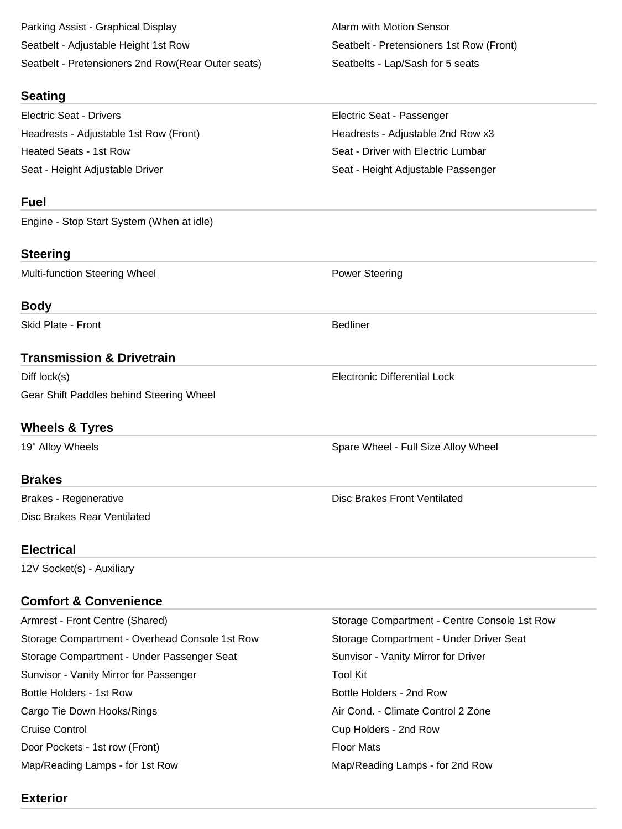Parking Assist - Graphical Display Alarm with Motion Sensor Seatbelt - Adjustable Height 1st Row Seatbelt - Pretensioners 1st Row (Front) Seatbelt - Pretensioners 2nd Row(Rear Outer seats) Seatbelts - Lap/Sash for 5 seats

#### **Seating**

Electric Seat - Drivers Electric Seat - Passenger Headrests - Adjustable 1st Row (Front) The Meadrests - Adjustable 2nd Row x3 Heated Seats - 1st Row Seat - Driver with Electric Lumbar Seat - Height Adjustable Driver Seat - Height Adjustable Passenger

## **Fuel**

Engine - Stop Start System (When at idle)

## **Steering**

Multi-function Steering Wheel **Power Steering** 

## **Body**

Skid Plate - Front **Bedliner** Bedliner

## **Transmission & Drivetrain**

Diff lock(s) **Electronic Differential Lock** Gear Shift Paddles behind Steering Wheel

## **Wheels & Tyres**

## **Brakes**

Disc Brakes Rear Ventilated

## **Electrical**

12V Socket(s) - Auxiliary

## **Comfort & Convenience**

| Armrest - Front Centre (Shared)                | Storage Compartment - Centre Console 1st Row |
|------------------------------------------------|----------------------------------------------|
| Storage Compartment - Overhead Console 1st Row | Storage Compartment - Under Driver Seat      |
| Storage Compartment - Under Passenger Seat     | Sunvisor - Vanity Mirror for Driver          |
| Sunvisor - Vanity Mirror for Passenger         | <b>Tool Kit</b>                              |
| Bottle Holders - 1st Row                       | Bottle Holders - 2nd Row                     |
| Cargo Tie Down Hooks/Rings                     | Air Cond. - Climate Control 2 Zone           |
| <b>Cruise Control</b>                          | Cup Holders - 2nd Row                        |
| Door Pockets - 1st row (Front)                 | <b>Floor Mats</b>                            |
| Map/Reading Lamps - for 1st Row                | Map/Reading Lamps - for 2nd Row              |

19" Alloy Wheels **Spare Wheel - Full Size Alloy Wheel** - Spare Wheel - Full Size Alloy Wheel

Brakes - Regenerative **Disc Brakes Front Ventilated** 

**Exterior**